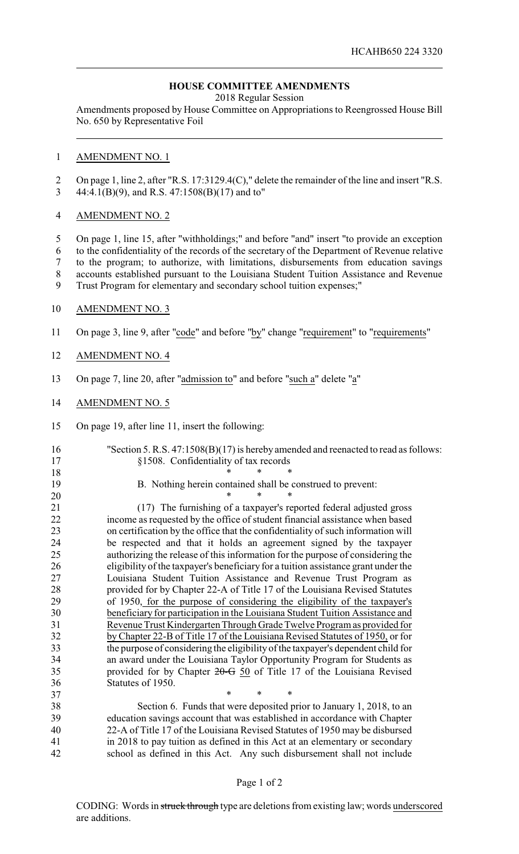## **HOUSE COMMITTEE AMENDMENTS**

2018 Regular Session

Amendments proposed by House Committee on Appropriations to Reengrossed House Bill No. 650 by Representative Foil

## AMENDMENT NO. 1

 On page 1, line 2, after "R.S. 17:3129.4(C)," delete the remainder of the line and insert "R.S. 44:4.1(B)(9), and R.S. 47:1508(B)(17) and to"

## AMENDMENT NO. 2

 On page 1, line 15, after "withholdings;" and before "and" insert "to provide an exception to the confidentiality of the records of the secretary of the Department of Revenue relative to the program; to authorize, with limitations, disbursements from education savings accounts established pursuant to the Louisiana Student Tuition Assistance and Revenue Trust Program for elementary and secondary school tuition expenses;"

- AMENDMENT NO. 3
- On page 3, line 9, after "code" and before "by" change "requirement" to "requirements"
- AMENDMENT NO. 4
- On page 7, line 20, after "admission to" and before "such a" delete "a"
- AMENDMENT NO. 5
- On page 19, after line 11, insert the following:

## "Section 5. R.S. 47:1508(B)(17) is hereby amended and reenacted to read as follows: §1508. Confidentiality of tax records \* \* \*

B. Nothing herein contained shall be construed to prevent:

 \* \* \* 21 (17) The furnishing of a taxpayer's reported federal adjusted gross<br>22 income as requested by the office of student financial assistance when based income as requested by the office of student financial assistance when based on certification by the office that the confidentiality of such information will be respected and that it holds an agreement signed by the taxpayer authorizing the release of this information for the purpose of considering the eligibility of the taxpayer's beneficiary for a tuition assistance grant under the Louisiana Student Tuition Assistance and Revenue Trust Program as provided for by Chapter 22-A of Title 17 of the Louisiana Revised Statutes of 1950, for the purpose of considering the eligibility of the taxpayer's beneficiary for participation in the Louisiana Student Tuition Assistance and Revenue Trust Kindergarten Through Grade Twelve Program as provided for by Chapter 22-B of Title 17 of the Louisiana Revised Statutes of 1950, or for the purpose of considering the eligibility of the taxpayer's dependent child for an award under the Louisiana Taylor Opportunity Program for Students as 35 provided for by Chapter 20-G 50 of Title 17 of the Louisiana Revised Statutes of 1950. 37 \* \* \* \*

 Section 6. Funds that were deposited prior to January 1, 2018, to an education savings account that was established in accordance with Chapter 22-A of Title 17 of the Louisiana Revised Statutes of 1950 may be disbursed in 2018 to pay tuition as defined in this Act at an elementary or secondary school as defined in this Act. Any such disbursement shall not include